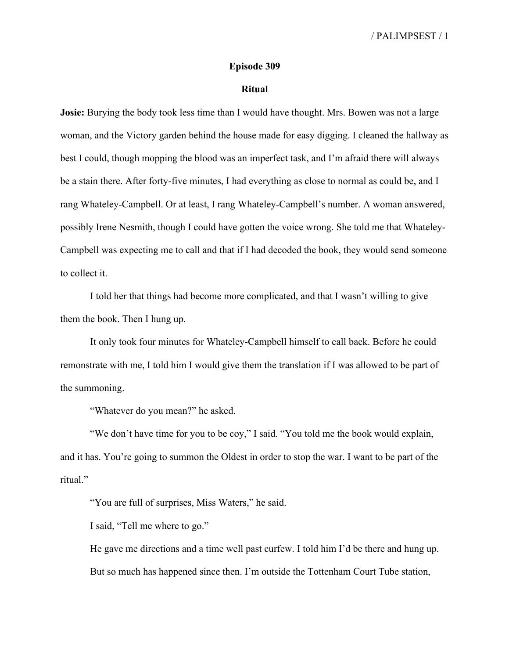## **Episode 309**

## **Ritual**

**Josie:** Burying the body took less time than I would have thought. Mrs. Bowen was not a large woman, and the Victory garden behind the house made for easy digging. I cleaned the hallway as best I could, though mopping the blood was an imperfect task, and I'm afraid there will always be a stain there. After forty-five minutes, I had everything as close to normal as could be, and I rang Whateley-Campbell. Or at least, I rang Whateley-Campbell's number. A woman answered, possibly Irene Nesmith, though I could have gotten the voice wrong. She told me that Whateley-Campbell was expecting me to call and that if I had decoded the book, they would send someone to collect it.

I told her that things had become more complicated, and that I wasn't willing to give them the book. Then I hung up.

It only took four minutes for Whateley-Campbell himself to call back. Before he could remonstrate with me, I told him I would give them the translation if I was allowed to be part of the summoning.

"Whatever do you mean?" he asked.

"We don't have time for you to be coy," I said. "You told me the book would explain, and it has. You're going to summon the Oldest in order to stop the war. I want to be part of the ritual."

"You are full of surprises, Miss Waters," he said.

I said, "Tell me where to go."

He gave me directions and a time well past curfew. I told him I'd be there and hung up. But so much has happened since then. I'm outside the Tottenham Court Tube station,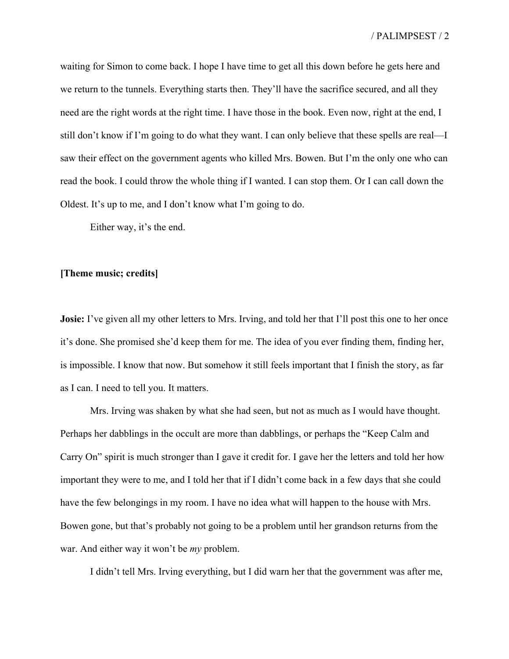waiting for Simon to come back. I hope I have time to get all this down before he gets here and we return to the tunnels. Everything starts then. They'll have the sacrifice secured, and all they need are the right words at the right time. I have those in the book. Even now, right at the end, I still don't know if I'm going to do what they want. I can only believe that these spells are real—I saw their effect on the government agents who killed Mrs. Bowen. But I'm the only one who can read the book. I could throw the whole thing if I wanted. I can stop them. Or I can call down the Oldest. It's up to me, and I don't know what I'm going to do.

Either way, it's the end.

## **[Theme music; credits]**

**Josie:** I've given all my other letters to Mrs. Irving, and told her that I'll post this one to her once it's done. She promised she'd keep them for me. The idea of you ever finding them, finding her, is impossible. I know that now. But somehow it still feels important that I finish the story, as far as I can. I need to tell you. It matters.

Mrs. Irving was shaken by what she had seen, but not as much as I would have thought. Perhaps her dabblings in the occult are more than dabblings, or perhaps the "Keep Calm and Carry On" spirit is much stronger than I gave it credit for. I gave her the letters and told her how important they were to me, and I told her that if I didn't come back in a few days that she could have the few belongings in my room. I have no idea what will happen to the house with Mrs. Bowen gone, but that's probably not going to be a problem until her grandson returns from the war. And either way it won't be *my* problem.

I didn't tell Mrs. Irving everything, but I did warn her that the government was after me,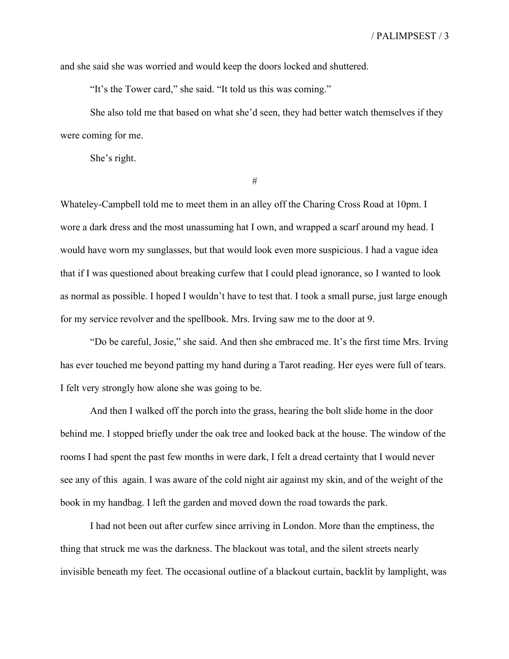and she said she was worried and would keep the doors locked and shuttered.

"It's the Tower card," she said. "It told us this was coming."

She also told me that based on what she'd seen, they had better watch themselves if they were coming for me.

She's right.

#

Whateley-Campbell told me to meet them in an alley off the Charing Cross Road at 10pm. I wore a dark dress and the most unassuming hat I own, and wrapped a scarf around my head. I would have worn my sunglasses, but that would look even more suspicious. I had a vague idea that if I was questioned about breaking curfew that I could plead ignorance, so I wanted to look as normal as possible. I hoped I wouldn't have to test that. I took a small purse, just large enough for my service revolver and the spellbook. Mrs. Irving saw me to the door at 9.

"Do be careful, Josie," she said. And then she embraced me. It's the first time Mrs. Irving has ever touched me beyond patting my hand during a Tarot reading. Her eyes were full of tears. I felt very strongly how alone she was going to be.

And then I walked off the porch into the grass, hearing the bolt slide home in the door behind me. I stopped briefly under the oak tree and looked back at the house. The window of the rooms I had spent the past few months in were dark, I felt a dread certainty that I would never see any of this again. I was aware of the cold night air against my skin, and of the weight of the book in my handbag. I left the garden and moved down the road towards the park.

I had not been out after curfew since arriving in London. More than the emptiness, the thing that struck me was the darkness. The blackout was total, and the silent streets nearly invisible beneath my feet. The occasional outline of a blackout curtain, backlit by lamplight, was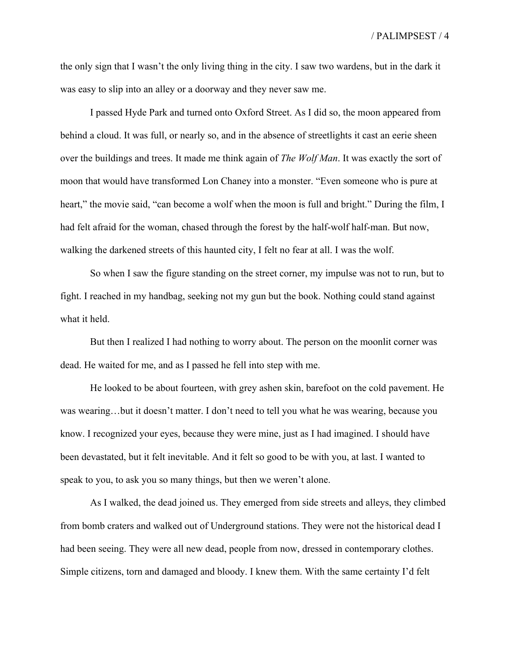the only sign that I wasn't the only living thing in the city. I saw two wardens, but in the dark it was easy to slip into an alley or a doorway and they never saw me.

I passed Hyde Park and turned onto Oxford Street. As I did so, the moon appeared from behind a cloud. It was full, or nearly so, and in the absence of streetlights it cast an eerie sheen over the buildings and trees. It made me think again of *The Wolf Man*. It was exactly the sort of moon that would have transformed Lon Chaney into a monster. "Even someone who is pure at heart," the movie said, "can become a wolf when the moon is full and bright." During the film, I had felt afraid for the woman, chased through the forest by the half-wolf half-man. But now, walking the darkened streets of this haunted city, I felt no fear at all. I was the wolf.

So when I saw the figure standing on the street corner, my impulse was not to run, but to fight. I reached in my handbag, seeking not my gun but the book. Nothing could stand against what it held.

But then I realized I had nothing to worry about. The person on the moonlit corner was dead. He waited for me, and as I passed he fell into step with me.

He looked to be about fourteen, with grey ashen skin, barefoot on the cold pavement. He was wearing…but it doesn't matter. I don't need to tell you what he was wearing, because you know. I recognized your eyes, because they were mine, just as I had imagined. I should have been devastated, but it felt inevitable. And it felt so good to be with you, at last. I wanted to speak to you, to ask you so many things, but then we weren't alone.

As I walked, the dead joined us. They emerged from side streets and alleys, they climbed from bomb craters and walked out of Underground stations. They were not the historical dead I had been seeing. They were all new dead, people from now, dressed in contemporary clothes. Simple citizens, torn and damaged and bloody. I knew them. With the same certainty I'd felt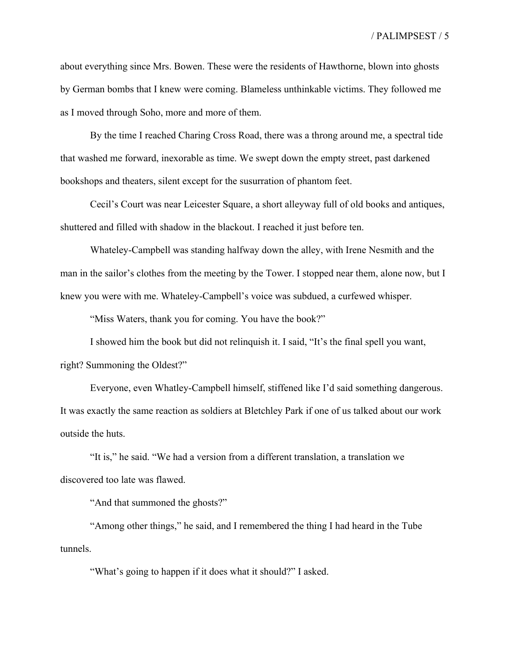about everything since Mrs. Bowen. These were the residents of Hawthorne, blown into ghosts by German bombs that I knew were coming. Blameless unthinkable victims. They followed me as I moved through Soho, more and more of them.

By the time I reached Charing Cross Road, there was a throng around me, a spectral tide that washed me forward, inexorable as time. We swept down the empty street, past darkened bookshops and theaters, silent except for the susurration of phantom feet.

Cecil's Court was near Leicester Square, a short alleyway full of old books and antiques, shuttered and filled with shadow in the blackout. I reached it just before ten.

Whateley-Campbell was standing halfway down the alley, with Irene Nesmith and the man in the sailor's clothes from the meeting by the Tower. I stopped near them, alone now, but I knew you were with me. Whateley-Campbell's voice was subdued, a curfewed whisper.

"Miss Waters, thank you for coming. You have the book?"

I showed him the book but did not relinquish it. I said, "It's the final spell you want, right? Summoning the Oldest?"

Everyone, even Whatley-Campbell himself, stiffened like I'd said something dangerous. It was exactly the same reaction as soldiers at Bletchley Park if one of us talked about our work outside the huts.

"It is," he said. "We had a version from a different translation, a translation we discovered too late was flawed.

"And that summoned the ghosts?"

"Among other things," he said, and I remembered the thing I had heard in the Tube tunnels.

"What's going to happen if it does what it should?" I asked.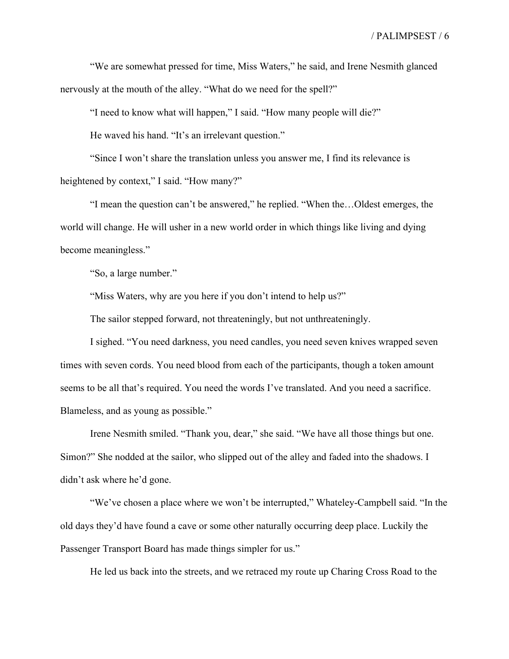"We are somewhat pressed for time, Miss Waters," he said, and Irene Nesmith glanced nervously at the mouth of the alley. "What do we need for the spell?"

"I need to know what will happen," I said. "How many people will die?"

He waved his hand. "It's an irrelevant question."

"Since I won't share the translation unless you answer me, I find its relevance is heightened by context," I said. "How many?"

"I mean the question can't be answered," he replied. "When the…Oldest emerges, the world will change. He will usher in a new world order in which things like living and dying become meaningless."

"So, a large number."

"Miss Waters, why are you here if you don't intend to help us?"

The sailor stepped forward, not threateningly, but not unthreateningly.

I sighed. "You need darkness, you need candles, you need seven knives wrapped seven times with seven cords. You need blood from each of the participants, though a token amount seems to be all that's required. You need the words I've translated. And you need a sacrifice. Blameless, and as young as possible."

Irene Nesmith smiled. "Thank you, dear," she said. "We have all those things but one. Simon?" She nodded at the sailor, who slipped out of the alley and faded into the shadows. I didn't ask where he'd gone.

"We've chosen a place where we won't be interrupted," Whateley-Campbell said. "In the old days they'd have found a cave or some other naturally occurring deep place. Luckily the Passenger Transport Board has made things simpler for us."

He led us back into the streets, and we retraced my route up Charing Cross Road to the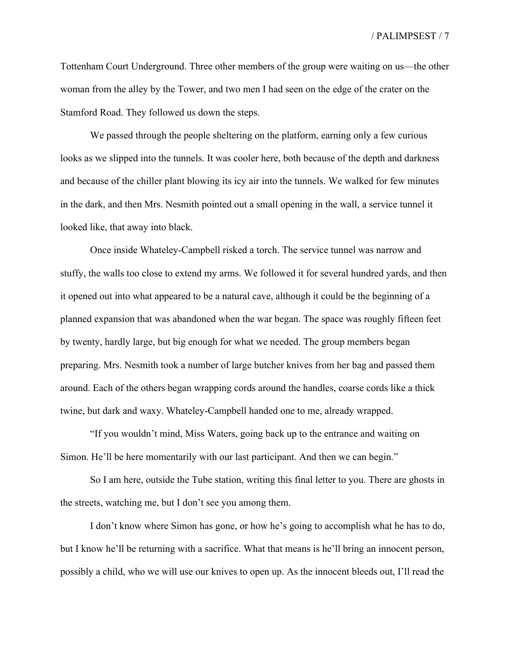Tottenham Court Underground. Three other members of the group were waiting on us—the other woman from the alley by the Tower, and two men I had seen on the edge of the crater on the Stamford Road. They followed us down the steps.

We passed through the people sheltering on the platform, earning only a few curious looks as we slipped into the tunnels. It was cooler here, both because of the depth and darkness and because of the chiller plant blowing its icy air into the tunnels. We walked for few minutes in the dark, and then Mrs. Nesmith pointed out a small opening in the wall, a service tunnel it looked like, that away into black.

Once inside Whateley-Campbell risked a torch. The service tunnel was narrow and stuffy, the walls too close to extend my arms. We followed it for several hundred yards, and then it opened out into what appeared to be a natural cave, although it could be the beginning of a planned expansion that was abandoned when the war began. The space was roughly fifteen feet by twenty, hardly large, but big enough for what we needed. The group members began preparing. Mrs. Nesmith took a number of large butcher knives from her bag and passed them around. Each of the others began wrapping cords around the handles, coarse cords like a thick twine, but dark and waxy. Whateley-Campbell handed one to me, already wrapped.

"If you wouldn't mind, Miss Waters, going back up to the entrance and waiting on Simon. He'll be here momentarily with our last participant. And then we can begin."

So I am here, outside the Tube station, writing this final letter to you. There are ghosts in the streets, watching me, but I don't see you among them.

I don't know where Simon has gone, or how he's going to accomplish what he has to do, but I know he'll be returning with a sacrifice. What that means is he'll bring an innocent person, possibly a child, who we will use our knives to open up. As the innocent bleeds out, I'll read the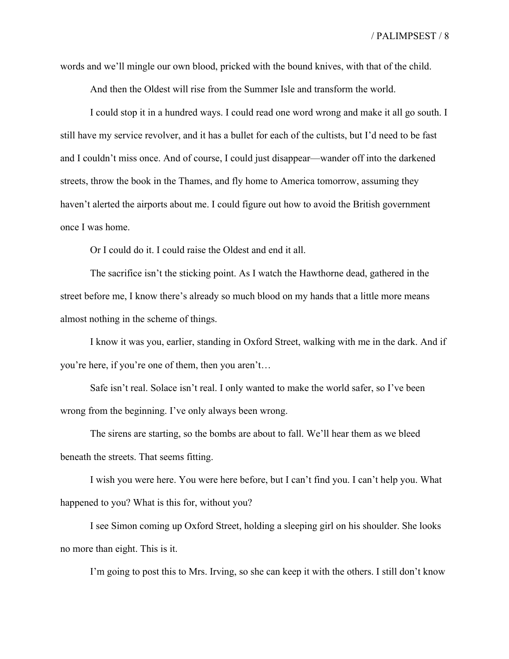words and we'll mingle our own blood, pricked with the bound knives, with that of the child.

And then the Oldest will rise from the Summer Isle and transform the world.

I could stop it in a hundred ways. I could read one word wrong and make it all go south. I still have my service revolver, and it has a bullet for each of the cultists, but I'd need to be fast and I couldn't miss once. And of course, I could just disappear—wander off into the darkened streets, throw the book in the Thames, and fly home to America tomorrow, assuming they haven't alerted the airports about me. I could figure out how to avoid the British government once I was home.

Or I could do it. I could raise the Oldest and end it all.

The sacrifice isn't the sticking point. As I watch the Hawthorne dead, gathered in the street before me, I know there's already so much blood on my hands that a little more means almost nothing in the scheme of things.

I know it was you, earlier, standing in Oxford Street, walking with me in the dark. And if you're here, if you're one of them, then you aren't…

Safe isn't real. Solace isn't real. I only wanted to make the world safer, so I've been wrong from the beginning. I've only always been wrong.

The sirens are starting, so the bombs are about to fall. We'll hear them as we bleed beneath the streets. That seems fitting.

I wish you were here. You were here before, but I can't find you. I can't help you. What happened to you? What is this for, without you?

I see Simon coming up Oxford Street, holding a sleeping girl on his shoulder. She looks no more than eight. This is it.

I'm going to post this to Mrs. Irving, so she can keep it with the others. I still don't know